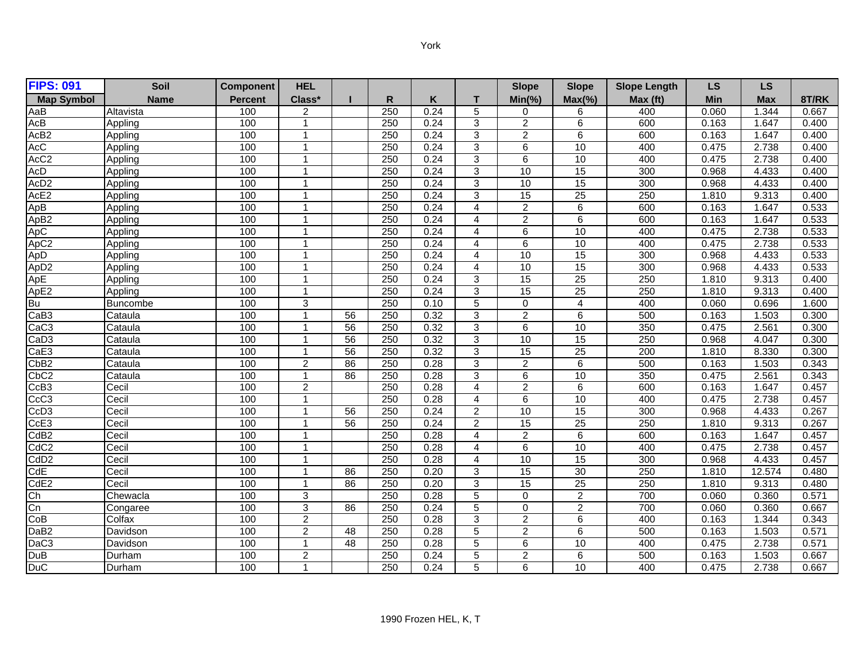| <b>FIPS: 091</b>         | Soil      | <b>Component</b> | <b>HEL</b>              |                 |                  |      |                | <b>Slope</b>    | <b>Slope</b>    | <b>Slope Length</b> | <b>LS</b> | LS.        |       |
|--------------------------|-----------|------------------|-------------------------|-----------------|------------------|------|----------------|-----------------|-----------------|---------------------|-----------|------------|-------|
| <b>Map Symbol</b>        | Name      | Percent          | Class*                  |                 | R                | K    | т              | $Min(\% )$      | $Max(\% )$      | Max (ft)            | Min       | <b>Max</b> | 8T/RK |
| AaB                      | Altavista | 100              | $\overline{2}$          |                 | 250              | 0.24 | 5              | 0               | 6               | 400                 | 0.060     | 1.344      | 0.667 |
| AcB                      | Appling   | 100              | $\overline{\mathbf{1}}$ |                 | 250              | 0.24 | 3              | $\overline{2}$  | 6               | 600                 | 0.163     | 1.647      | 0.400 |
| AcB <sub>2</sub>         | Appling   | 100              | -1                      |                 | 250              | 0.24 | 3              | $\overline{2}$  | 6               | 600                 | 0.163     | 1.647      | 0.400 |
| AccC                     | Appling   | 100              | $\mathbf{1}$            |                 | 250              | 0.24 | 3              | 6               | 10              | 400                 | 0.475     | 2.738      | 0.400 |
| AcC <sub>2</sub>         | Appling   | 100              | $\overline{1}$          |                 | 250              | 0.24 | 3              | 6               | 10              | 400                 | 0.475     | 2.738      | 0.400 |
| ACD                      | Appling   | 100              | $\overline{1}$          |                 | $\overline{250}$ | 0.24 | 3              | 10              | $\overline{15}$ | 300                 | 0.968     | 4.433      | 0.400 |
| AcD <sub>2</sub>         | Appling   | 100              | $\overline{1}$          |                 | 250              | 0.24 | 3              | 10              | 15              | 300                 | 0.968     | 4.433      | 0.400 |
| AcE <sub>2</sub>         | Appling   | 100              | $\overline{\mathbf{1}}$ |                 | 250              | 0.24 | 3              | $\overline{15}$ | $\overline{25}$ | 250                 | 1.810     | 9.313      | 0.400 |
| ApB                      | Appling   | 100              | $\overline{\mathbf{1}}$ |                 | 250              | 0.24 | 4              | 2               | 6               | 600                 | 0.163     | 1.647      | 0.533 |
| ApB2                     | Appling   | 100              | $\mathbf{1}$            |                 | 250              | 0.24 | 4              | $\overline{2}$  | 6               | 600                 | 0.163     | 1.647      | 0.533 |
| ApC                      | Appling   | 100              | $\overline{1}$          |                 | 250              | 0.24 | 4              | 6               | 10              | 400                 | 0.475     | 2.738      | 0.533 |
| $A\overline{pC2}$        | Appling   | 100              | $\overline{1}$          |                 | 250              | 0.24 | 4              | 6               | 10              | 400                 | 0.475     | 2.738      | 0.533 |
| ApD                      | Appling   | 100              | -1                      |                 | 250              | 0.24 | 4              | 10              | 15              | 300                 | 0.968     | 4.433      | 0.533 |
| ApD2                     | Appling   | 100              | $\overline{\mathbf{1}}$ |                 | 250              | 0.24 | 4              | 10              | 15              | 300                 | 0.968     | 4.433      | 0.533 |
| ApE                      | Appling   | 100              | $\overline{1}$          |                 | 250              | 0.24 | 3              | $\overline{15}$ | $\overline{25}$ | 250                 | 1.810     | 9.313      | 0.400 |
| ApE2                     | Appling   | 100              | $\overline{\mathbf{1}}$ |                 | 250              | 0.24 | 3              | 15              | 25              | 250                 | 1.810     | 9.313      | 0.400 |
| Bu                       | Buncombe  | 100              | 3                       |                 | 250              | 0.10 | 5              | $\Omega$        | $\overline{4}$  | 400                 | 0.060     | 0.696      | 1.600 |
| CaB3                     | Cataula   | 100              | $\overline{1}$          | 56              | 250              | 0.32 | 3              | $\overline{2}$  | 6               | 500                 | 0.163     | 1.503      | 0.300 |
| CaC3                     | Cataula   | 100              | 1                       | $\overline{56}$ | 250              | 0.32 | 3              | 6               | 10              | 350                 | 0.475     | 2.561      | 0.300 |
| CaD3                     | Cataula   | 100              | $\overline{\mathbf{1}}$ | 56              | 250              | 0.32 | 3              | 10              | 15              | 250                 | 0.968     | 4.047      | 0.300 |
| CaE3                     | Cataula   | 100              | $\overline{\mathbf{1}}$ | 56              | 250              | 0.32 | 3              | 15              | 25              | 200                 | 1.810     | 8.330      | 0.300 |
| CbB2                     | Cataula   | 100              | $\overline{c}$          | 86              | 250              | 0.28 | 3              | $\overline{2}$  | 6               | 500                 | 0.163     | 1.503      | 0.343 |
| CbC <sub>2</sub>         | Cataula   | 100              | -1                      | 86              | 250              | 0.28 | 3              | 6               | 10              | 350                 | 0.475     | 2.561      | 0.343 |
| CcB3                     | Cecil     | 100              | 2                       |                 | 250              | 0.28 | 4              | 2               | 6               | 600                 | 0.163     | 1.647      | 0.457 |
| $\overline{CcC}3$        | Cecil     | 100              | -1                      |                 | 250              | 0.28 | 4              | 6               | 10              | 400                 | 0.475     | 2.738      | 0.457 |
| CcD <sub>3</sub>         | Cecil     | 100              | $\overline{1}$          | 56              | 250              | 0.24 | $\overline{c}$ | 10              | 15              | 300                 | 0.968     | 4.433      | 0.267 |
| CcE3                     | Cecil     | 100              | $\overline{1}$          | 56              | 250              | 0.24 | $\overline{c}$ | 15              | 25              | 250                 | 1.810     | 9.313      | 0.267 |
| CdB <sub>2</sub>         | Cecil     | 100              | $\overline{1}$          |                 | 250              | 0.28 | 4              | $\overline{a}$  | 6               | 600                 | 0.163     | 1.647      | 0.457 |
| $\overline{\text{CdC2}}$ | Cecil     | 100              | -1                      |                 | 250              | 0.28 | 4              | 6               | 10              | 400                 | 0.475     | 2.738      | 0.457 |
| $\overline{\text{CdD2}}$ | Cecil     | 100              | -1                      |                 | 250              | 0.28 | 4              | 10              | 15              | 300                 | 0.968     | 4.433      | 0.457 |
| CdE                      | Cecil     | 100              | $\overline{\mathbf{1}}$ | 86              | 250              | 0.20 | 3              | 15              | 30              | 250                 | 1.810     | 12.574     | 0.480 |
| CdE <sub>2</sub>         | Cecil     | 100              | $\overline{\mathbf{1}}$ | 86              | 250              | 0.20 | 3              | 15              | 25              | 250                 | 1.810     | 9.313      | 0.480 |
| Ch                       | Chewacla  | 100              | 3                       |                 | 250              | 0.28 | 5              | $\mathbf 0$     | $\overline{2}$  | 700                 | 0.060     | 0.360      | 0.571 |
| $\overline{\text{Cn}}$   | Congaree  | 100              | 3                       | 86              | 250              | 0.24 | 5              | $\mathbf 0$     | $\overline{2}$  | 700                 | 0.060     | 0.360      | 0.667 |
| CoB                      | Colfax    | 100              | $\overline{2}$          |                 | 250              | 0.28 | 3              | $\overline{2}$  | 6               | 400                 | 0.163     | 1.344      | 0.343 |
| DaB2                     | Davidson  | 100              | 2                       | 48              | 250              | 0.28 | 5              | $\overline{2}$  | 6               | 500                 | 0.163     | 1.503      | 0.571 |
| DaC <sub>3</sub>         | Davidson  | 100              | $\mathbf{1}$            | 48              | 250              | 0.28 | 5              | 6               | 10              | 400                 | 0.475     | 2.738      | 0.571 |
| DuB                      | Durham    | 100              | $\overline{c}$          |                 | 250              | 0.24 | 5              | $\overline{2}$  | 6               | 500                 | 0.163     | 1.503      | 0.667 |
| <b>DuC</b>               | Durham    | 100              | $\overline{1}$          |                 | 250              | 0.24 | 5              | 6               | 10              | 400                 | 0.475     | 2.738      | 0.667 |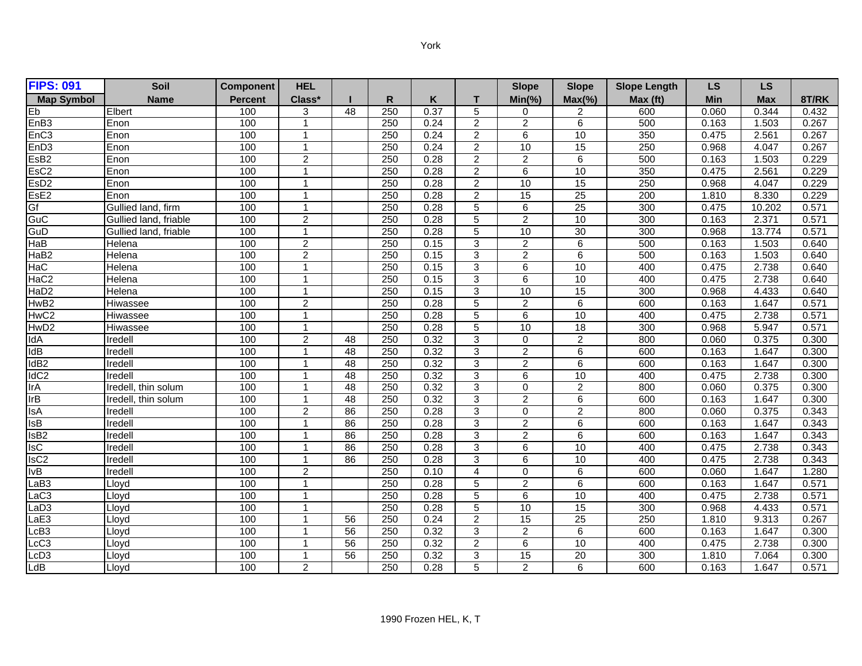| <b>FIPS: 091</b>                   | <b>Soil</b>           | <b>Component</b> | <b>HEL</b>              |                 |     |      |                           | <b>Slope</b>    | <b>Slope</b>    | <b>Slope Length</b> | <b>LS</b>  | <b>LS</b>  |       |
|------------------------------------|-----------------------|------------------|-------------------------|-----------------|-----|------|---------------------------|-----------------|-----------------|---------------------|------------|------------|-------|
| <b>Map Symbol</b>                  | <b>Name</b>           | <b>Percent</b>   | Class*                  |                 | R   | Κ    | т                         | $Min(\% )$      | $Max(\% )$      | Max (ft)            | <b>Min</b> | <b>Max</b> | 8T/RK |
| Eb                                 | Elbert                | 100              | 3                       | 48              | 250 | 0.37 | 5                         | 0               | 2               | 600                 | 0.060      | 0.344      | 0.432 |
| EnB3                               | Enon                  | 100              | -1                      |                 | 250 | 0.24 | $\overline{2}$            | $\overline{2}$  | $\overline{6}$  | 500                 | 0.163      | 1.503      | 0.267 |
| EnC <sub>3</sub>                   | Enon                  | 100              | $\overline{1}$          |                 | 250 | 0.24 | $\overline{2}$            | $6\overline{6}$ | 10              | 350                 | 0.475      | 2.561      | 0.267 |
| EnD <sub>3</sub>                   | Enon                  | 100              | $\mathbf{1}$            |                 | 250 | 0.24 | $\overline{2}$            | 10              | 15              | 250                 | 0.968      | 4.047      | 0.267 |
| EsB <sub>2</sub>                   | Enon                  | 100              | $\overline{c}$          |                 | 250 | 0.28 | $\overline{2}$            | $\overline{2}$  | 6               | 500                 | 0.163      | 1.503      | 0.229 |
| EsC <sub>2</sub>                   | Enon                  | 100              | $\mathbf 1$             |                 | 250 | 0.28 | $\overline{c}$            | 6               | 10              | 350                 | 0.475      | 2.561      | 0.229 |
| EsD2                               | Enon                  | 100              | $\overline{1}$          |                 | 250 | 0.28 | $\overline{2}$            | 10              | 15              | 250                 | 0.968      | 4.047      | 0.229 |
| EsE <sub>2</sub>                   | Enon                  | 100              | $\mathbf{1}$            |                 | 250 | 0.28 | $\overline{c}$            | $\overline{15}$ | $\overline{25}$ | $\overline{200}$    | 1.810      | 8.330      | 0.229 |
| Gf                                 | Gullied land, firm    | 100              | $\overline{1}$          |                 | 250 | 0.28 | 5                         | $\overline{6}$  | 25              | 300                 | 0.475      | 10.202     | 0.571 |
| $\overline{\text{GuC}}$            | Gullied land, friable | 100              | $\overline{c}$          |                 | 250 | 0.28 | 5                         | $\overline{a}$  | 10              | 300                 | 0.163      | 2.371      | 0.571 |
| GuD                                | Gullied land, friable | 100              | $\mathbf{1}$            |                 | 250 | 0.28 | $\overline{5}$            | 10              | 30              | 300                 | 0.968      | 13.774     | 0.571 |
| HaB                                | Helena                | 100              | $\overline{2}$          |                 | 250 | 0.15 | 3                         | $\overline{c}$  | 6               | 500                 | 0.163      | 1.503      | 0.640 |
| HaB2                               | Helena                | 100              | $\overline{2}$          |                 | 250 | 0.15 | 3                         | $\overline{2}$  | 6               | 500                 | 0.163      | 1.503      | 0.640 |
| HaC                                | Helena                | 100              | $\mathbf{1}$            |                 | 250 | 0.15 | 3                         | $\overline{6}$  | 10              | 400                 | 0.475      | 2.738      | 0.640 |
| HaC2                               | Helena                | 100              | $\mathbf{1}$            |                 | 250 | 0.15 | $\overline{3}$            | $\overline{6}$  | 10              | 400                 | 0.475      | 2.738      | 0.640 |
| HaD2                               | Helena                | 100              | $\mathbf{1}$            |                 | 250 | 0.15 | 3                         | 10              | 15              | 300                 | 0.968      | 4.433      | 0.640 |
| HwB2                               | Hiwassee              | 100              | $\overline{2}$          |                 | 250 | 0.28 | 5                         | $\overline{2}$  | 6               | 600                 | 0.163      | 1.647      | 0.571 |
| HwC2                               | Hiwassee              | 100              | $\mathbf 1$             |                 | 250 | 0.28 | $\overline{5}$            | $\overline{6}$  | 10              | 400                 | 0.475      | 2.738      | 0.571 |
| HwD2                               | Hiwassee              | 100              | $\overline{1}$          |                 | 250 | 0.28 | 5                         | $\overline{10}$ | $\overline{18}$ | 300                 | 0.968      | 5.947      | 0.571 |
| IdA                                | Iredell               | 100              | $\overline{2}$          | 48              | 250 | 0.32 | 3                         | 0               | $\overline{2}$  | 800                 | 0.060      | 0.375      | 0.300 |
| $\overline{\mathsf{Id}\mathsf{B}}$ | Iredell               | 100              | 1                       | 48              | 250 | 0.32 | 3                         | $\overline{2}$  | 6               | 600                 | 0.163      | 1.647      | 0.300 |
| IdB <sub>2</sub>                   | Iredell               | 100              | $\overline{1}$          | 48              | 250 | 0.32 | $\ensuremath{\mathsf{3}}$ | $\overline{a}$  | 6               | 600                 | 0.163      | 1.647      | 0.300 |
| IdC <sub>2</sub>                   | Iredell               | 100              | -1                      | 48              | 250 | 0.32 | 3                         | $6\overline{6}$ | 10              | 400                 | 0.475      | 2.738      | 0.300 |
| IrA                                | Iredell, thin solum   | 100              | $\overline{1}$          | 48              | 250 | 0.32 | 3                         | 0               | $\overline{2}$  | 800                 | 0.060      | 0.375      | 0.300 |
| IrB                                | Iredell, thin solum   | 100              | $\mathbf{1}$            | 48              | 250 | 0.32 | 3                         | $\overline{2}$  | 6               | 600                 | 0.163      | 1.647      | 0.300 |
| <b>IsA</b>                         | Iredell               | 100              | $\overline{c}$          | 86              | 250 | 0.28 | $\overline{3}$            | $\Omega$        | $\overline{c}$  | 800                 | 0.060      | 0.375      | 0.343 |
| $\overline{\text{lsB}}$            | Iredell               | 100              | $\overline{1}$          | 86              | 250 | 0.28 | 3                         | $\overline{2}$  | 6               | 600                 | 0.163      | 1.647      | 0.343 |
| $\overline{\text{lsB2}}$           | Iredell               | 100              | $\overline{\mathbf{1}}$ | 86              | 250 | 0.28 | 3                         | $\overline{2}$  | 6               | 600                 | 0.163      | 1.647      | 0.343 |
| $\overline{\mathsf{Isc}}$          | Iredell               | 100              | $\overline{1}$          | 86              | 250 | 0.28 | 3                         | $\overline{6}$  | 10              | 400                 | 0.475      | 2.738      | 0.343 |
| lsC2                               | Iredell               | 100              | $\overline{1}$          | 86              | 250 | 0.28 | 3                         | 6               | 10              | 400                 | 0.475      | 2.738      | 0.343 |
| lvB                                | Iredell               | 100              | $\overline{c}$          |                 | 250 | 0.10 | 4                         | 0               | 6               | 600                 | 0.060      | 1.647      | 1.280 |
| LaB3                               | Lloyd                 | 100              | $\mathbf{1}$            |                 | 250 | 0.28 | 5                         | $\overline{2}$  | 6               | 600                 | 0.163      | 1.647      | 0.571 |
| LaC3                               | Lloyd                 | 100              | 1                       |                 | 250 | 0.28 | 5                         | 6               | 10              | 400                 | 0.475      | 2.738      | 0.571 |
| LaD3                               | Lloyd                 | 100              | $\overline{1}$          |                 | 250 | 0.28 | 5                         | 10              | 15              | 300                 | 0.968      | 4.433      | 0.571 |
| LaE3                               | Lloyd                 | 100              | $\mathbf{1}$            | 56              | 250 | 0.24 | $\overline{c}$            | $\overline{15}$ | $\overline{25}$ | 250                 | 1.810      | 9.313      | 0.267 |
| LcB3                               | Lloyd                 | 100              | $\mathbf 1$             | 56              | 250 | 0.32 | 3                         | $\overline{2}$  | 6               | 600                 | 0.163      | 1.647      | 0.300 |
| LcC <sub>3</sub>                   | Lloyd                 | 100              | 1                       | 56              | 250 | 0.32 | $\overline{2}$            | $\overline{6}$  | 10              | 400                 | 0.475      | 2.738      | 0.300 |
| LcD3                               | Llovd                 | 100              | -1                      | $\overline{56}$ | 250 | 0.32 | 3                         | 15              | 20              | 300                 | 1.810      | 7.064      | 0.300 |
| LdB                                | Llovd                 | 100              | 2                       |                 | 250 | 0.28 | 5                         | $\overline{2}$  | 6               | 600                 | 0.163      | 1.647      | 0.571 |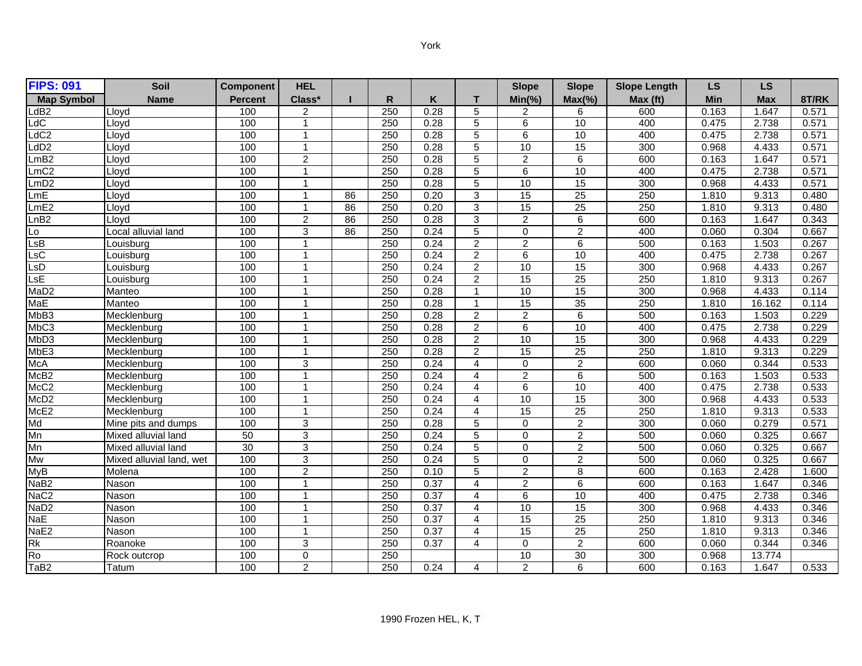| <b>FIPS: 091</b>          | <b>Soil</b>              | <b>Component</b> | <b>HEL</b>              |    |                  |      |                | <b>Slope</b>    | <b>Slope</b>    | <b>Slope Length</b> | <b>LS</b> | <b>LS</b>  |       |
|---------------------------|--------------------------|------------------|-------------------------|----|------------------|------|----------------|-----------------|-----------------|---------------------|-----------|------------|-------|
| <b>Map Symbol</b>         | Name                     | <b>Percent</b>   | Class*                  |    | $\mathsf{R}$     | K    | т              | $Min(\% )$      | $Max(\% )$      | Max (ft)            | Min       | <b>Max</b> | 8T/RK |
| LdB2                      | Lloyd                    | 100              | $\overline{2}$          |    | 250              | 0.28 | 5              | $\overline{c}$  | 6               | 600                 | 0.163     | 1.647      | 0.571 |
| LdC                       | Llovd                    | 100              | 1                       |    | 250              | 0.28 | 5              | 6               | 10              | 400                 | 0.475     | 2.738      | 0.571 |
| LdC2                      | Lloyd                    | 100              | 1                       |    | 250              | 0.28 | 5              | 6               | 10              | 400                 | 0.475     | 2.738      | 0.571 |
| LdD2                      | Lloyd                    | 100              | $\overline{1}$          |    | 250              | 0.28 | 5              | 10              | 15              | 300                 | 0.968     | 4.433      | 0.571 |
| LmB2                      | Lloyd                    | 100              | 2                       |    | 250              | 0.28 | 5              | $\overline{2}$  | 6               | 600                 | 0.163     | 1.647      | 0.571 |
| $Lm\overline{C2}$         | Lloyd                    | 100              | $\overline{\mathbf{1}}$ |    | 250              | 0.28 | 5              | $\overline{6}$  | 10              | 400                 | 0.475     | 2.738      | 0.571 |
| LmD2                      | Llovd                    | 100              | $\mathbf{1}$            |    | 250              | 0.28 | 5              | 10              | 15              | 300                 | 0.968     | 4.433      | 0.571 |
| LmE                       | Lloyd                    | 100              | 1                       | 86 | 250              | 0.20 | 3              | $\overline{15}$ | $\overline{25}$ | 250                 | 1.810     | 9.313      | 0.480 |
| LmE2                      | Lloyd                    | 100              | $\overline{1}$          | 86 | 250              | 0.20 | $\overline{3}$ | 15              | $\overline{25}$ | 250                 | 1.810     | 9.313      | 0.480 |
| LnB2                      | Llovd                    | 100              | $\overline{c}$          | 86 | 250              | 0.28 | 3              | $\overline{2}$  | 6               | 600                 | 0.163     | 1.647      | 0.343 |
| Lo                        | Local alluvial land      | 100              | $\overline{3}$          | 86 | 250              | 0.24 | $\overline{5}$ | $\overline{0}$  | $\overline{2}$  | 400                 | 0.060     | 0.304      | 0.667 |
| $\overline{\textsf{LsB}}$ | Louisburg                | 100              | $\overline{\mathbf{1}}$ |    | 250              | 0.24 | $\overline{2}$ | $\overline{2}$  | 6               | 500                 | 0.163     | 1.503      | 0.267 |
| LsC                       | Louisbura                | 100              | $\overline{1}$          |    | 250              | 0.24 | $\overline{2}$ | 6               | 10              | 400                 | 0.475     | 2.738      | 0.267 |
| LSD                       | Louisburg                | 100              | $\overline{1}$          |    | 250              | 0.24 | $\overline{2}$ | 10              | 15              | 300                 | 0.968     | 4.433      | 0.267 |
| LsE                       | Louisburg                | 100              | $\overline{1}$          |    | 250              | 0.24 | $\overline{2}$ | 15              | 25              | 250                 | 1.810     | 9.313      | 0.267 |
| MaD <sub>2</sub>          | Manteo                   | 100              | 1                       |    | 250              | 0.28 | 1              | 10              | 15              | 300                 | 0.968     | 4.433      | 0.114 |
| MaE                       | Manteo                   | 100              | $\mathbf{1}$            |    | 250              | 0.28 | $\mathbf{1}$   | 15              | 35              | 250                 | 1.810     | 16.162     | 0.114 |
| MbB3                      | Mecklenburg              | 100              | 1                       |    | 250              | 0.28 | $\overline{2}$ | $\overline{2}$  | 6               | 500                 | 0.163     | 1.503      | 0.229 |
| MbC3                      | Mecklenburg              | 100              | $\overline{1}$          |    | 250              | 0.28 | $\overline{2}$ | $\overline{6}$  | 10              | 400                 | 0.475     | 2.738      | 0.229 |
| Mb <sub>D3</sub>          | Mecklenburg              | 100              | $\overline{ }$          |    | 250              | 0.28 | $\overline{2}$ | 10              | 15              | 300                 | 0.968     | 4.433      | 0.229 |
| MbE3                      | Mecklenburg              | 100              | 1                       |    | 250              | 0.28 | $\overline{2}$ | $\overline{15}$ | $\overline{25}$ | 250                 | 1.810     | 9.313      | 0.229 |
| McA                       | Mecklenburg              | 100              | $\sqrt{3}$              |    | 250              | 0.24 | $\overline{4}$ | 0               | $\overline{c}$  | 600                 | 0.060     | 0.344      | 0.533 |
| McB <sub>2</sub>          | Mecklenburg              | 100              | 1                       |    | 250              | 0.24 | 4              | $\overline{2}$  | 6               | 500                 | 0.163     | 1.503      | 0.533 |
| McC <sub>2</sub>          | Mecklenburg              | 100              | $\overline{1}$          |    | 250              | 0.24 | 4              | $\overline{6}$  | 10              | 400                 | 0.475     | 2.738      | 0.533 |
| McD <sub>2</sub>          | Mecklenburg              | 100              | $\overline{1}$          |    | 250              | 0.24 | 4              | 10              | 15              | 300                 | 0.968     | 4.433      | 0.533 |
| McE <sub>2</sub>          | Mecklenburg              | 100              | $\mathbf{1}$            |    | $\overline{250}$ | 0.24 | 4              | 15              | $\overline{25}$ | 250                 | 1.810     | 9.313      | 0.533 |
| $\overline{\mathsf{Md}}$  | Mine pits and dumps      | 100              | 3                       |    | 250              | 0.28 | 5              | $\overline{0}$  | $\overline{2}$  | 300                 | 0.060     | 0.279      | 0.571 |
| $\overline{\mathsf{Mn}}$  | Mixed alluvial land      | 50               | 3                       |    | 250              | 0.24 | 5              | 0               | $\overline{c}$  | 500                 | 0.060     | 0.325      | 0.667 |
| Mn                        | Mixed alluvial land      | 30               | 3                       |    | 250              | 0.24 | 5              | 0               | 2               | 500                 | 0.060     | 0.325      | 0.667 |
| Mw                        | Mixed alluvial land, wet | 100              | $\overline{3}$          |    | 250              | 0.24 | 5              | 0               | 2               | 500                 | 0.060     | 0.325      | 0.667 |
| MyB                       | Molena                   | 100              | $\overline{2}$          |    | $\overline{250}$ | 0.10 | 5              | $\overline{2}$  | 8               | 600                 | 0.163     | 2.428      | 1.600 |
| NaB2                      | Nason                    | 100              | $\mathbf{1}$            |    | 250              | 0.37 | 4              | $\overline{2}$  | 6               | 600                 | 0.163     | 1.647      | 0.346 |
| NaC2                      | Nason                    | 100              | 1                       |    | 250              | 0.37 | 4              | 6               | 10              | 400                 | 0.475     | 2.738      | 0.346 |
| NaD <sub>2</sub>          | <b>Nason</b>             | 100              | $\overline{1}$          |    | 250              | 0.37 | 4              | 10              | 15              | 300                 | 0.968     | 4.433      | 0.346 |
| NaE                       | Nason                    | 100              | $\overline{1}$          |    | 250              | 0.37 | 4              | 15              | 25              | 250                 | 1.810     | 9.313      | 0.346 |
| NaE2                      | <b>Nason</b>             | 100              | $\mathbf{1}$            |    | 250              | 0.37 | 4              | 15              | $\overline{25}$ | 250                 | 1.810     | 9.313      | 0.346 |
| $\overline{\mathsf{Rk}}$  | Roanoke                  | 100              | 3                       |    | 250              | 0.37 | 4              | $\mathbf 0$     | 2               | 600                 | 0.060     | 0.344      | 0.346 |
| $\overline{\text{Ro}}$    | Rock outcrop             | 100              | $\mathbf 0$             |    | 250              |      |                | 10              | $\overline{30}$ | 300                 | 0.968     | 13.774     |       |
| TaB2                      | Tatum                    | 100              | $\overline{2}$          |    | 250              | 0.24 | 4              | $\overline{2}$  | 6               | 600                 | 0.163     | 1.647      | 0.533 |
|                           |                          |                  |                         |    |                  |      |                |                 |                 |                     |           |            |       |

 $\overline{\mathsf{L}}$ 

r

Lo

 $\overline{1}$ 

 $\overline{\mathsf{L}}$ 

 $\overline{\mathsf{L}}$